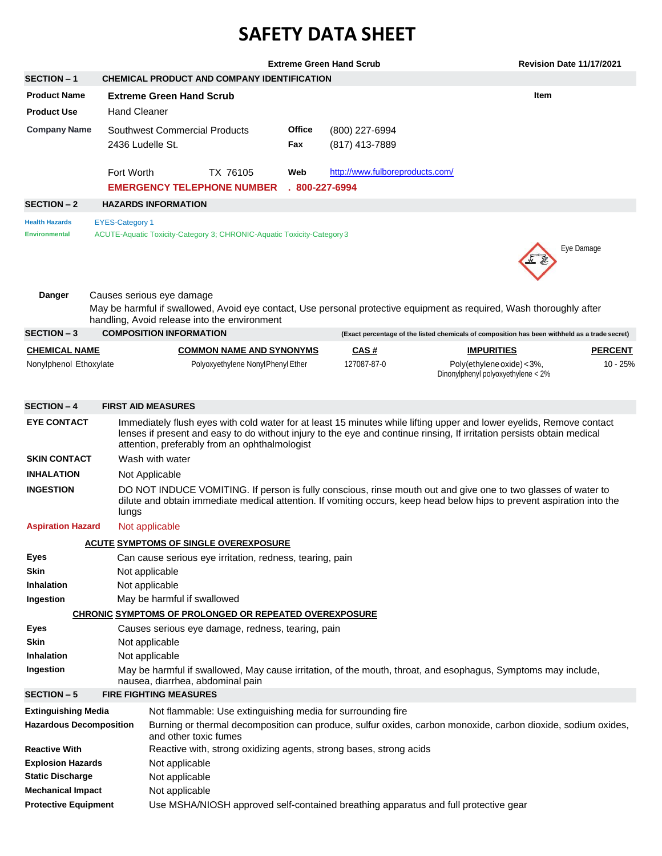## **SAFETY DATA SHEET**

|                                               |                        |                                                                                                                                                   |                                                                        |                      | <b>Extreme Green Hand Scrub</b>                                    |                                                                                                                                                                                                                                         | <b>Revision Date 11/17/2021</b> |                |  |
|-----------------------------------------------|------------------------|---------------------------------------------------------------------------------------------------------------------------------------------------|------------------------------------------------------------------------|----------------------|--------------------------------------------------------------------|-----------------------------------------------------------------------------------------------------------------------------------------------------------------------------------------------------------------------------------------|---------------------------------|----------------|--|
| <b>SECTION - 1</b>                            |                        |                                                                                                                                                   | CHEMICAL PRODUCT AND COMPANY IDENTIFICATION                            |                      |                                                                    |                                                                                                                                                                                                                                         |                                 |                |  |
| <b>Product Name</b>                           |                        | <b>Extreme Green Hand Scrub</b>                                                                                                                   |                                                                        |                      |                                                                    |                                                                                                                                                                                                                                         | <b>Item</b>                     |                |  |
| <b>Product Use</b>                            |                        | <b>Hand Cleaner</b>                                                                                                                               |                                                                        |                      |                                                                    |                                                                                                                                                                                                                                         |                                 |                |  |
| <b>Company Name</b>                           |                        | Southwest Commercial Products<br>2436 Ludelle St.                                                                                                 |                                                                        | <b>Office</b><br>Fax | (800) 227-6994<br>(817) 413-7889                                   |                                                                                                                                                                                                                                         |                                 |                |  |
|                                               |                        | Fort Worth                                                                                                                                        | TX 76105                                                               | Web                  | http://www.fulboreproducts.com/                                    |                                                                                                                                                                                                                                         |                                 |                |  |
|                                               |                        | <b>EMERGENCY TELEPHONE NUMBER</b>                                                                                                                 |                                                                        | $.800 - 227 - 6994$  |                                                                    |                                                                                                                                                                                                                                         |                                 |                |  |
| <b>SECTION - 2</b>                            |                        | <b>HAZARDS INFORMATION</b>                                                                                                                        |                                                                        |                      |                                                                    |                                                                                                                                                                                                                                         |                                 |                |  |
| <b>Health Hazards</b><br><b>Environmental</b> | <b>EYES-Category 1</b> |                                                                                                                                                   | ACUTE-Aquatic Toxicity-Category 3; CHRONIC-Aquatic Toxicity-Category 3 |                      |                                                                    |                                                                                                                                                                                                                                         | Eye Damage                      |                |  |
| <b>Danger</b>                                 |                        | Causes serious eye damage                                                                                                                         | handling, Avoid release into the environment                           |                      |                                                                    | May be harmful if swallowed, Avoid eye contact, Use personal protective equipment as required, Wash thoroughly after                                                                                                                    |                                 |                |  |
| <b>SECTION - 3</b>                            |                        | <b>COMPOSITION INFORMATION</b>                                                                                                                    |                                                                        |                      |                                                                    | (Exact percentage of the listed chemicals of composition has been withheld as a trade secret)                                                                                                                                           |                                 |                |  |
| <b>CHEMICAL NAME</b>                          |                        |                                                                                                                                                   | <b>COMMON NAME AND SYNONYMS</b>                                        |                      | <u>CAS#</u>                                                        | <b>IMPURITIES</b>                                                                                                                                                                                                                       |                                 | <b>PERCENT</b> |  |
| Nonylphenol Ethoxylate                        |                        |                                                                                                                                                   | Polyoxyethylene NonylPhenyl Ether                                      |                      | 127087-87-0                                                        | Poly(ethylene oxide) < 3%,<br>Dinonylphenyl polyoxyethylene < 2%                                                                                                                                                                        |                                 | 10 - 25%       |  |
| <b>SECTION - 4</b>                            |                        | <b>FIRST AID MEASURES</b>                                                                                                                         |                                                                        |                      |                                                                    |                                                                                                                                                                                                                                         |                                 |                |  |
| <b>EYE CONTACT</b>                            |                        |                                                                                                                                                   |                                                                        |                      |                                                                    | Immediately flush eyes with cold water for at least 15 minutes while lifting upper and lower eyelids, Remove contact                                                                                                                    |                                 |                |  |
|                                               |                        |                                                                                                                                                   | attention, preferably from an ophthalmologist                          |                      |                                                                    | lenses if present and easy to do without injury to the eye and continue rinsing, If irritation persists obtain medical                                                                                                                  |                                 |                |  |
| <b>SKIN CONTACT</b>                           |                        | Wash with water                                                                                                                                   |                                                                        |                      |                                                                    |                                                                                                                                                                                                                                         |                                 |                |  |
| <b>INHALATION</b>                             |                        | Not Applicable                                                                                                                                    |                                                                        |                      |                                                                    |                                                                                                                                                                                                                                         |                                 |                |  |
| <b>INGESTION</b>                              |                        | lungs                                                                                                                                             |                                                                        |                      |                                                                    | DO NOT INDUCE VOMITING. If person is fully conscious, rinse mouth out and give one to two glasses of water to<br>dilute and obtain immediate medical attention. If vomiting occurs, keep head below hips to prevent aspiration into the |                                 |                |  |
| <b>Aspiration Hazard</b>                      |                        | Not applicable                                                                                                                                    |                                                                        |                      |                                                                    |                                                                                                                                                                                                                                         |                                 |                |  |
|                                               |                        |                                                                                                                                                   | <b>ACUTE SYMPTOMS OF SINGLE OVEREXPOSURE</b>                           |                      |                                                                    |                                                                                                                                                                                                                                         |                                 |                |  |
| Eyes                                          |                        |                                                                                                                                                   | Can cause serious eye irritation, redness, tearing, pain               |                      |                                                                    |                                                                                                                                                                                                                                         |                                 |                |  |
| <b>Skin</b>                                   |                        | Not applicable                                                                                                                                    |                                                                        |                      |                                                                    |                                                                                                                                                                                                                                         |                                 |                |  |
| <b>Inhalation</b>                             |                        | Not applicable                                                                                                                                    |                                                                        |                      |                                                                    |                                                                                                                                                                                                                                         |                                 |                |  |
| Ingestion                                     |                        | May be harmful if swallowed                                                                                                                       |                                                                        |                      |                                                                    |                                                                                                                                                                                                                                         |                                 |                |  |
|                                               |                        |                                                                                                                                                   | CHRONIC SYMPTOMS OF PROLONGED OR REPEATED OVEREXPOSURE                 |                      |                                                                    |                                                                                                                                                                                                                                         |                                 |                |  |
| Eyes                                          |                        |                                                                                                                                                   | Causes serious eye damage, redness, tearing, pain                      |                      |                                                                    |                                                                                                                                                                                                                                         |                                 |                |  |
| Skin                                          |                        | Not applicable                                                                                                                                    |                                                                        |                      |                                                                    |                                                                                                                                                                                                                                         |                                 |                |  |
| <b>Inhalation</b>                             |                        | Not applicable                                                                                                                                    |                                                                        |                      |                                                                    |                                                                                                                                                                                                                                         |                                 |                |  |
| Ingestion                                     |                        | May be harmful if swallowed, May cause irritation, of the mouth, throat, and esophagus, Symptoms may include,<br>nausea, diarrhea, abdominal pain |                                                                        |                      |                                                                    |                                                                                                                                                                                                                                         |                                 |                |  |
| <b>SECTION - 5</b>                            |                        | <b>FIRE FIGHTING MEASURES</b>                                                                                                                     |                                                                        |                      |                                                                    |                                                                                                                                                                                                                                         |                                 |                |  |
| <b>Extinguishing Media</b>                    |                        |                                                                                                                                                   |                                                                        |                      | Not flammable: Use extinguishing media for surrounding fire        |                                                                                                                                                                                                                                         |                                 |                |  |
| <b>Hazardous Decomposition</b>                |                        | and other toxic fumes                                                                                                                             |                                                                        |                      |                                                                    | Burning or thermal decomposition can produce, sulfur oxides, carbon monoxide, carbon dioxide, sodium oxides,                                                                                                                            |                                 |                |  |
| <b>Reactive With</b>                          |                        |                                                                                                                                                   |                                                                        |                      | Reactive with, strong oxidizing agents, strong bases, strong acids |                                                                                                                                                                                                                                         |                                 |                |  |
| <b>Explosion Hazards</b>                      |                        | Not applicable                                                                                                                                    |                                                                        |                      |                                                                    |                                                                                                                                                                                                                                         |                                 |                |  |
| <b>Static Discharge</b>                       |                        | Not applicable                                                                                                                                    |                                                                        |                      |                                                                    |                                                                                                                                                                                                                                         |                                 |                |  |
| <b>Mechanical Impact</b>                      |                        | Not applicable                                                                                                                                    |                                                                        |                      |                                                                    |                                                                                                                                                                                                                                         |                                 |                |  |
| <b>Protective Equipment</b>                   |                        |                                                                                                                                                   |                                                                        |                      |                                                                    | Use MSHA/NIOSH approved self-contained breathing apparatus and full protective gear                                                                                                                                                     |                                 |                |  |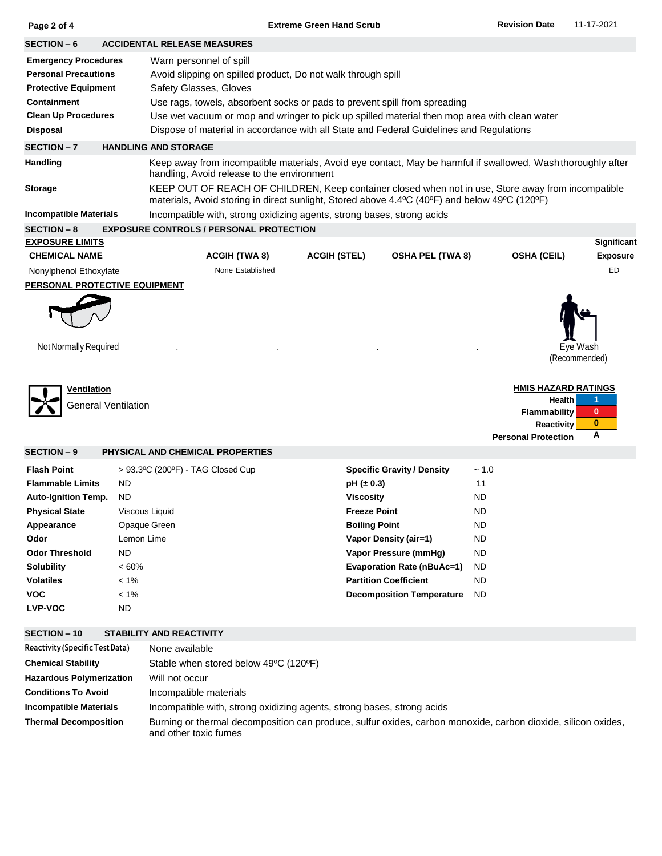|                                                                                                                                                                                                                                                                                                                                                                                                                                                                                                                                                               |                                                                                                                                             |                                                                                                                                                        | <b>Revision Date</b>                                                                              | 11-17-2021                                                                                                                                                                                                                                                                                                                                                                                                                                   |  |  |  |  |  |  |  |
|---------------------------------------------------------------------------------------------------------------------------------------------------------------------------------------------------------------------------------------------------------------------------------------------------------------------------------------------------------------------------------------------------------------------------------------------------------------------------------------------------------------------------------------------------------------|---------------------------------------------------------------------------------------------------------------------------------------------|--------------------------------------------------------------------------------------------------------------------------------------------------------|---------------------------------------------------------------------------------------------------|----------------------------------------------------------------------------------------------------------------------------------------------------------------------------------------------------------------------------------------------------------------------------------------------------------------------------------------------------------------------------------------------------------------------------------------------|--|--|--|--|--|--|--|
| <b>SECTION - 6</b><br><b>ACCIDENTAL RELEASE MEASURES</b>                                                                                                                                                                                                                                                                                                                                                                                                                                                                                                      |                                                                                                                                             |                                                                                                                                                        |                                                                                                   |                                                                                                                                                                                                                                                                                                                                                                                                                                              |  |  |  |  |  |  |  |
| <b>Emergency Procedures</b><br>Warn personnel of spill<br><b>Personal Precautions</b><br>Avoid slipping on spilled product, Do not walk through spill<br><b>Protective Equipment</b><br>Safety Glasses, Gloves<br><b>Containment</b><br>Use rags, towels, absorbent socks or pads to prevent spill from spreading<br><b>Clean Up Procedures</b><br>Use wet vacuum or mop and wringer to pick up spilled material then mop area with clean water<br><b>Disposal</b><br>Dispose of material in accordance with all State and Federal Guidelines and Regulations |                                                                                                                                             |                                                                                                                                                        |                                                                                                   |                                                                                                                                                                                                                                                                                                                                                                                                                                              |  |  |  |  |  |  |  |
| SECTION-7<br><b>HANDLING AND STORAGE</b>                                                                                                                                                                                                                                                                                                                                                                                                                                                                                                                      |                                                                                                                                             |                                                                                                                                                        |                                                                                                   |                                                                                                                                                                                                                                                                                                                                                                                                                                              |  |  |  |  |  |  |  |
|                                                                                                                                                                                                                                                                                                                                                                                                                                                                                                                                                               |                                                                                                                                             |                                                                                                                                                        |                                                                                                   |                                                                                                                                                                                                                                                                                                                                                                                                                                              |  |  |  |  |  |  |  |
|                                                                                                                                                                                                                                                                                                                                                                                                                                                                                                                                                               |                                                                                                                                             |                                                                                                                                                        |                                                                                                   |                                                                                                                                                                                                                                                                                                                                                                                                                                              |  |  |  |  |  |  |  |
|                                                                                                                                                                                                                                                                                                                                                                                                                                                                                                                                                               |                                                                                                                                             |                                                                                                                                                        |                                                                                                   |                                                                                                                                                                                                                                                                                                                                                                                                                                              |  |  |  |  |  |  |  |
|                                                                                                                                                                                                                                                                                                                                                                                                                                                                                                                                                               |                                                                                                                                             |                                                                                                                                                        |                                                                                                   |                                                                                                                                                                                                                                                                                                                                                                                                                                              |  |  |  |  |  |  |  |
|                                                                                                                                                                                                                                                                                                                                                                                                                                                                                                                                                               |                                                                                                                                             |                                                                                                                                                        |                                                                                                   | Significant<br><b>Exposure</b>                                                                                                                                                                                                                                                                                                                                                                                                               |  |  |  |  |  |  |  |
|                                                                                                                                                                                                                                                                                                                                                                                                                                                                                                                                                               |                                                                                                                                             |                                                                                                                                                        |                                                                                                   | <b>ED</b>                                                                                                                                                                                                                                                                                                                                                                                                                                    |  |  |  |  |  |  |  |
|                                                                                                                                                                                                                                                                                                                                                                                                                                                                                                                                                               |                                                                                                                                             |                                                                                                                                                        |                                                                                                   |                                                                                                                                                                                                                                                                                                                                                                                                                                              |  |  |  |  |  |  |  |
|                                                                                                                                                                                                                                                                                                                                                                                                                                                                                                                                                               |                                                                                                                                             |                                                                                                                                                        |                                                                                                   | Eye Wash<br>(Recommended)<br>1<br>$\mathbf{0}$<br>0<br>Α                                                                                                                                                                                                                                                                                                                                                                                     |  |  |  |  |  |  |  |
|                                                                                                                                                                                                                                                                                                                                                                                                                                                                                                                                                               |                                                                                                                                             |                                                                                                                                                        |                                                                                                   |                                                                                                                                                                                                                                                                                                                                                                                                                                              |  |  |  |  |  |  |  |
|                                                                                                                                                                                                                                                                                                                                                                                                                                                                                                                                                               |                                                                                                                                             |                                                                                                                                                        |                                                                                                   |                                                                                                                                                                                                                                                                                                                                                                                                                                              |  |  |  |  |  |  |  |
|                                                                                                                                                                                                                                                                                                                                                                                                                                                                                                                                                               | <b>ACGIH (TWA 8)</b><br>None Established<br>PERSONAL PROTECTIVE EQUIPMENT<br><b>General Ventilation</b><br>PHYSICAL AND CHEMICAL PROPERTIES | <b>Extreme Green Hand Scrub</b><br>handling, Avoid release to the environment<br><b>EXPOSURE CONTROLS / PERSONAL PROTECTION</b><br><b>ACGIH (STEL)</b> | Incompatible with, strong oxidizing agents, strong bases, strong acids<br><b>OSHA PEL (TWA 8)</b> | Keep away from incompatible materials, Avoid eye contact, May be harmful if swallowed, Washthoroughly after<br>KEEP OUT OF REACH OF CHILDREN, Keep container closed when not in use, Store away from incompatible<br>materials, Avoid storing in direct sunlight, Stored above 4.4°C (40°F) and below 49°C (120°F)<br><b>OSHA (CEIL)</b><br><b>HMIS HAZARD RATINGS</b><br>Health<br>Flammability<br>Reactivity<br><b>Personal Protection</b> |  |  |  |  |  |  |  |

## **SECTION – 10 STABILITY AND REACTIVITY**

| Reactivity (Specific Test Data) | None available                                                                                                                         |
|---------------------------------|----------------------------------------------------------------------------------------------------------------------------------------|
| <b>Chemical Stability</b>       | Stable when stored below 49°C (120°F)                                                                                                  |
| <b>Hazardous Polymerization</b> | Will not occur                                                                                                                         |
| <b>Conditions To Avoid</b>      | Incompatible materials                                                                                                                 |
| <b>Incompatible Materials</b>   | Incompatible with, strong oxidizing agents, strong bases, strong acids                                                                 |
| <b>Thermal Decomposition</b>    | Burning or thermal decomposition can produce, sulfur oxides, carbon monoxide, carbon dioxide, silicon oxides,<br>and other toxic fumes |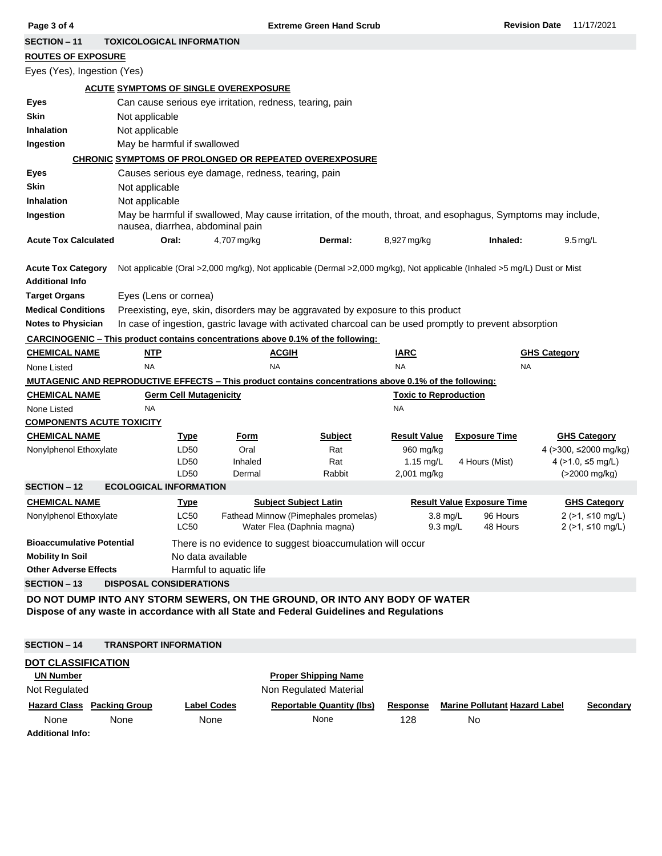| Page 3 of 4                                                                                            |                                                          |                                  | <b>Extreme Green Hand Scrub</b>                   |                                                                                 |                              | <b>Revision Date</b>                                                                                                    | 11/17/2021          |                                    |  |  |  |
|--------------------------------------------------------------------------------------------------------|----------------------------------------------------------|----------------------------------|---------------------------------------------------|---------------------------------------------------------------------------------|------------------------------|-------------------------------------------------------------------------------------------------------------------------|---------------------|------------------------------------|--|--|--|
| <b>SECTION - 11</b>                                                                                    |                                                          | <b>TOXICOLOGICAL INFORMATION</b> |                                                   |                                                                                 |                              |                                                                                                                         |                     |                                    |  |  |  |
| <b>ROUTES OF EXPOSURE</b>                                                                              |                                                          |                                  |                                                   |                                                                                 |                              |                                                                                                                         |                     |                                    |  |  |  |
| Eyes (Yes), Ingestion (Yes)                                                                            |                                                          |                                  |                                                   |                                                                                 |                              |                                                                                                                         |                     |                                    |  |  |  |
|                                                                                                        | <b>ACUTE SYMPTOMS OF SINGLE OVEREXPOSURE</b>             |                                  |                                                   |                                                                                 |                              |                                                                                                                         |                     |                                    |  |  |  |
| Eyes                                                                                                   | Can cause serious eye irritation, redness, tearing, pain |                                  |                                                   |                                                                                 |                              |                                                                                                                         |                     |                                    |  |  |  |
| <b>Skin</b>                                                                                            | Not applicable                                           |                                  |                                                   |                                                                                 |                              |                                                                                                                         |                     |                                    |  |  |  |
| <b>Inhalation</b>                                                                                      | Not applicable                                           |                                  |                                                   |                                                                                 |                              |                                                                                                                         |                     |                                    |  |  |  |
| Ingestion                                                                                              | May be harmful if swallowed                              |                                  |                                                   |                                                                                 |                              |                                                                                                                         |                     |                                    |  |  |  |
| CHRONIC SYMPTOMS OF PROLONGED OR REPEATED OVEREXPOSURE                                                 |                                                          |                                  |                                                   |                                                                                 |                              |                                                                                                                         |                     |                                    |  |  |  |
| Eyes                                                                                                   |                                                          |                                  |                                                   |                                                                                 |                              |                                                                                                                         |                     |                                    |  |  |  |
| <b>Skin</b>                                                                                            | Not applicable                                           |                                  | Causes serious eye damage, redness, tearing, pain |                                                                                 |                              |                                                                                                                         |                     |                                    |  |  |  |
| <b>Inhalation</b>                                                                                      |                                                          |                                  |                                                   |                                                                                 |                              |                                                                                                                         |                     |                                    |  |  |  |
| Ingestion                                                                                              | Not applicable                                           |                                  |                                                   |                                                                                 |                              |                                                                                                                         |                     |                                    |  |  |  |
|                                                                                                        |                                                          | nausea, diarrhea, abdominal pain |                                                   |                                                                                 |                              | May be harmful if swallowed, May cause irritation, of the mouth, throat, and esophagus, Symptoms may include,           |                     |                                    |  |  |  |
| <b>Acute Tox Calculated</b>                                                                            |                                                          | Oral:<br>4,707 mg/kg             |                                                   | Dermal:                                                                         | 8,927 mg/kg                  | Inhaled:                                                                                                                |                     | $9.5 \,\mathrm{mg/L}$              |  |  |  |
| <b>Acute Tox Category</b>                                                                              |                                                          |                                  |                                                   |                                                                                 |                              | Not applicable (Oral >2,000 mg/kg), Not applicable (Dermal >2,000 mg/kg), Not applicable (Inhaled >5 mg/L) Dust or Mist |                     |                                    |  |  |  |
| <b>Additional Info</b>                                                                                 |                                                          |                                  |                                                   |                                                                                 |                              |                                                                                                                         |                     |                                    |  |  |  |
| <b>Target Organs</b>                                                                                   | Eyes (Lens or cornea)                                    |                                  |                                                   |                                                                                 |                              |                                                                                                                         |                     |                                    |  |  |  |
| <b>Medical Conditions</b>                                                                              |                                                          |                                  |                                                   | Preexisting, eye, skin, disorders may be aggravated by exposure to this product |                              |                                                                                                                         |                     |                                    |  |  |  |
| <b>Notes to Physician</b>                                                                              |                                                          |                                  |                                                   |                                                                                 |                              | In case of ingestion, gastric lavage with activated charcoal can be used promptly to prevent absorption                 |                     |                                    |  |  |  |
| <b>CARCINOGENIC – This product contains concentrations above 0.1% of the following:</b>                |                                                          |                                  |                                                   |                                                                                 |                              |                                                                                                                         |                     |                                    |  |  |  |
| <b>CHEMICAL NAME</b>                                                                                   | <u>NTP</u>                                               |                                  | <b>ACGIH</b>                                      |                                                                                 | <b>IARC</b>                  |                                                                                                                         | <b>GHS Category</b> |                                    |  |  |  |
|                                                                                                        | <b>NA</b>                                                |                                  | <b>NA</b>                                         |                                                                                 |                              | <b>NA</b>                                                                                                               |                     |                                    |  |  |  |
|                                                                                                        |                                                          |                                  |                                                   |                                                                                 |                              |                                                                                                                         |                     |                                    |  |  |  |
| None Listed                                                                                            |                                                          |                                  |                                                   |                                                                                 | <b>NA</b>                    |                                                                                                                         |                     |                                    |  |  |  |
| MUTAGENIC AND REPRODUCTIVE EFFECTS – This product contains concentrations above 0.1% of the following: |                                                          |                                  |                                                   |                                                                                 |                              |                                                                                                                         |                     |                                    |  |  |  |
| <b>CHEMICAL NAME</b>                                                                                   |                                                          | <b>Germ Cell Mutagenicity</b>    |                                                   |                                                                                 | <b>Toxic to Reproduction</b> |                                                                                                                         |                     |                                    |  |  |  |
| None Listed                                                                                            | <b>NA</b>                                                |                                  |                                                   |                                                                                 | NA                           |                                                                                                                         |                     |                                    |  |  |  |
| <b>COMPONENTS ACUTE TOXICITY</b>                                                                       |                                                          |                                  |                                                   |                                                                                 |                              |                                                                                                                         |                     |                                    |  |  |  |
| <b>CHEMICAL NAME</b>                                                                                   |                                                          | <b>Type</b>                      | Form                                              | <b>Subject</b>                                                                  | <b>Result Value</b>          | <b>Exposure Time</b>                                                                                                    |                     | <b>GHS Category</b>                |  |  |  |
| Nonylphenol Ethoxylate                                                                                 |                                                          | LD50<br>LD50                     | Oral<br>Inhaled                                   | Rat<br>Rat                                                                      | 960 mg/kg<br>$1.15$ mg/L     | 4 Hours (Mist)                                                                                                          |                     | 4 (>300, ≤2000 mg/kg)              |  |  |  |
|                                                                                                        |                                                          | LD50                             | Dermal                                            | Rabbit                                                                          | 2,001 mg/kg                  |                                                                                                                         |                     | 4 (>1.0, ≤5 mg/L)<br>(>2000 mg/kg) |  |  |  |
| <b>SECTION - 12</b>                                                                                    | <b>ECOLOGICAL INFORMATION</b>                            |                                  |                                                   |                                                                                 |                              |                                                                                                                         |                     |                                    |  |  |  |
| <u>CHEMICAL NAME</u>                                                                                   |                                                          | <u>Type</u>                      | <b>Subject Subject Latin</b>                      |                                                                                 |                              | <b>Result Value Exposure Time</b>                                                                                       |                     | <b>GHS Category</b>                |  |  |  |
| Nonylphenol Ethoxylate                                                                                 |                                                          | <b>LC50</b>                      | Fathead Minnow (Pimephales promelas)              |                                                                                 | 3.8 mg/L                     | 96 Hours                                                                                                                |                     | $2$ (>1, ≤10 mg/L)                 |  |  |  |
|                                                                                                        |                                                          | LC50                             | Water Flea (Daphnia magna)                        |                                                                                 | $9.3$ mg/L                   | 48 Hours                                                                                                                |                     | $2$ (>1, ≤10 mg/L)                 |  |  |  |
| <b>Bioaccumulative Potential</b>                                                                       |                                                          |                                  |                                                   | There is no evidence to suggest bioaccumulation will occur                      |                              |                                                                                                                         |                     |                                    |  |  |  |
| <b>Mobility In Soil</b>                                                                                |                                                          | No data available                |                                                   |                                                                                 |                              |                                                                                                                         |                     |                                    |  |  |  |
| <b>Other Adverse Effects</b>                                                                           |                                                          | Harmful to aquatic life          |                                                   |                                                                                 |                              |                                                                                                                         |                     |                                    |  |  |  |
| <b>SECTION - 13</b>                                                                                    | <b>DISPOSAL CONSIDERATIONS</b>                           |                                  |                                                   |                                                                                 |                              |                                                                                                                         |                     |                                    |  |  |  |
| DO NOT DUMP INTO ANY STORM SEWERS, ON THE GROUND, OR INTO ANY BODY OF WATER                            |                                                          |                                  |                                                   |                                                                                 |                              |                                                                                                                         |                     |                                    |  |  |  |
| Dispose of any waste in accordance with all State and Federal Guidelines and Regulations               |                                                          |                                  |                                                   |                                                                                 |                              |                                                                                                                         |                     |                                    |  |  |  |
|                                                                                                        |                                                          |                                  |                                                   |                                                                                 |                              |                                                                                                                         |                     |                                    |  |  |  |
| <b>SECTION - 14</b>                                                                                    | <b>TRANSPORT INFORMATION</b>                             |                                  |                                                   |                                                                                 |                              |                                                                                                                         |                     |                                    |  |  |  |
| <b>DOT CLASSIFICATION</b>                                                                              |                                                          |                                  |                                                   |                                                                                 |                              |                                                                                                                         |                     |                                    |  |  |  |
| <b>UN Number</b>                                                                                       |                                                          |                                  |                                                   | <b>Proper Shipping Name</b>                                                     |                              |                                                                                                                         |                     |                                    |  |  |  |
| Not Regulated                                                                                          |                                                          |                                  |                                                   | Non Regulated Material                                                          |                              |                                                                                                                         |                     |                                    |  |  |  |
| <b>Hazard Class Packing Group</b>                                                                      |                                                          | <b>Label Codes</b>               |                                                   | <b>Reportable Quantity (lbs)</b>                                                | <b>Response</b>              | <b>Marine Pollutant Hazard Label</b>                                                                                    |                     | Secondary                          |  |  |  |

**Additional Info:**